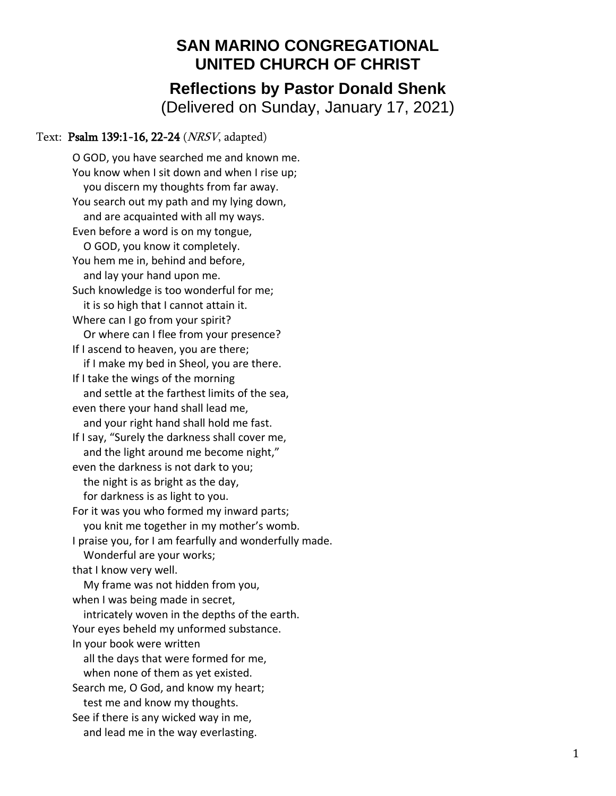## **SAN MARINO CONGREGATIONAL UNITED CHURCH OF CHRIST**

## **Reflections by Pastor Donald Shenk** (Delivered on Sunday, January 17, 2021)

## Text: Psalm 139:1-16, 22-24 (*NRSV*, adapted)

O GOD, you have searched me and known me. You know when I sit down and when I rise up; you discern my thoughts from far away. You search out my path and my lying down, and are acquainted with all my ways. Even before a word is on my tongue, O GOD, you know it completely. You hem me in, behind and before, and lay your hand upon me. Such knowledge is too wonderful for me; it is so high that I cannot attain it. Where can I go from your spirit? Or where can I flee from your presence? If I ascend to heaven, you are there; if I make my bed in Sheol, you are there. If I take the wings of the morning and settle at the farthest limits of the sea, even there your hand shall lead me, and your right hand shall hold me fast. If I say, "Surely the darkness shall cover me, and the light around me become night," even the darkness is not dark to you; the night is as bright as the day, for darkness is as light to you. For it was you who formed my inward parts; you knit me together in my mother's womb. I praise you, for I am fearfully and wonderfully made. Wonderful are your works; that I know very well. My frame was not hidden from you, when I was being made in secret, intricately woven in the depths of the earth. Your eyes beheld my unformed substance. In your book were written all the days that were formed for me, when none of them as yet existed. Search me, O God, and know my heart; test me and know my thoughts. See if there is any wicked way in me, and lead me in the way everlasting.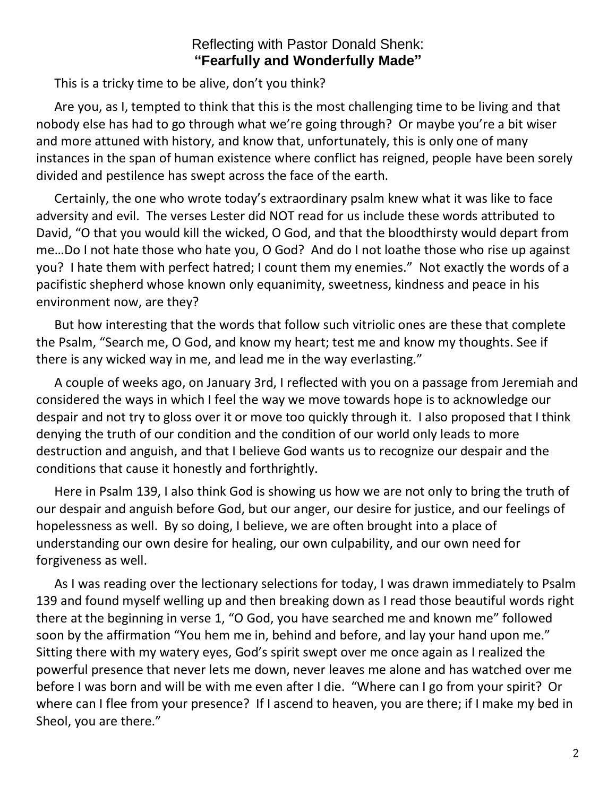## Reflecting with Pastor Donald Shenk: **"Fearfully and Wonderfully Made"**

This is a tricky time to be alive, don't you think?

Are you, as I, tempted to think that this is the most challenging time to be living and that nobody else has had to go through what we're going through? Or maybe you're a bit wiser and more attuned with history, and know that, unfortunately, this is only one of many instances in the span of human existence where conflict has reigned, people have been sorely divided and pestilence has swept across the face of the earth.

Certainly, the one who wrote today's extraordinary psalm knew what it was like to face adversity and evil. The verses Lester did NOT read for us include these words attributed to David, "O that you would kill the wicked, O God, and that the bloodthirsty would depart from me…Do I not hate those who hate you, O God? And do I not loathe those who rise up against you? I hate them with perfect hatred; I count them my enemies." Not exactly the words of a pacifistic shepherd whose known only equanimity, sweetness, kindness and peace in his environment now, are they?

But how interesting that the words that follow such vitriolic ones are these that complete the Psalm, "Search me, O God, and know my heart; test me and know my thoughts. See if there is any wicked way in me, and lead me in the way everlasting."

A couple of weeks ago, on January 3rd, I reflected with you on a passage from Jeremiah and considered the ways in which I feel the way we move towards hope is to acknowledge our despair and not try to gloss over it or move too quickly through it. I also proposed that I think denying the truth of our condition and the condition of our world only leads to more destruction and anguish, and that I believe God wants us to recognize our despair and the conditions that cause it honestly and forthrightly.

Here in Psalm 139, I also think God is showing us how we are not only to bring the truth of our despair and anguish before God, but our anger, our desire for justice, and our feelings of hopelessness as well. By so doing, I believe, we are often brought into a place of understanding our own desire for healing, our own culpability, and our own need for forgiveness as well.

As I was reading over the lectionary selections for today, I was drawn immediately to Psalm 139 and found myself welling up and then breaking down as I read those beautiful words right there at the beginning in verse 1, "O God, you have searched me and known me" followed soon by the affirmation "You hem me in, behind and before, and lay your hand upon me." Sitting there with my watery eyes, God's spirit swept over me once again as I realized the powerful presence that never lets me down, never leaves me alone and has watched over me before I was born and will be with me even after I die. "Where can I go from your spirit? Or where can I flee from your presence? If I ascend to heaven, you are there; if I make my bed in Sheol, you are there."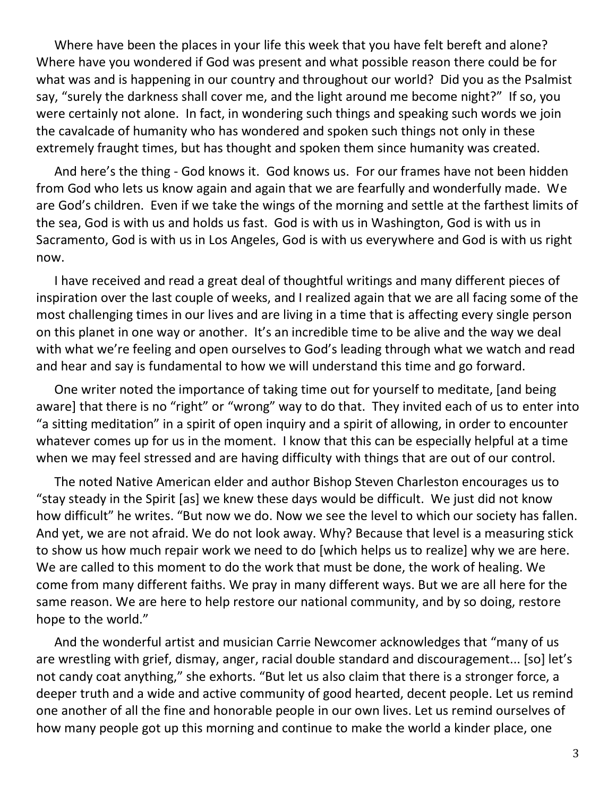Where have been the places in your life this week that you have felt bereft and alone? Where have you wondered if God was present and what possible reason there could be for what was and is happening in our country and throughout our world? Did you as the Psalmist say, "surely the darkness shall cover me, and the light around me become night?" If so, you were certainly not alone. In fact, in wondering such things and speaking such words we join the cavalcade of humanity who has wondered and spoken such things not only in these extremely fraught times, but has thought and spoken them since humanity was created.

And here's the thing - God knows it. God knows us. For our frames have not been hidden from God who lets us know again and again that we are fearfully and wonderfully made. We are God's children. Even if we take the wings of the morning and settle at the farthest limits of the sea, God is with us and holds us fast. God is with us in Washington, God is with us in Sacramento, God is with us in Los Angeles, God is with us everywhere and God is with us right now.

I have received and read a great deal of thoughtful writings and many different pieces of inspiration over the last couple of weeks, and I realized again that we are all facing some of the most challenging times in our lives and are living in a time that is affecting every single person on this planet in one way or another. It's an incredible time to be alive and the way we deal with what we're feeling and open ourselves to God's leading through what we watch and read and hear and say is fundamental to how we will understand this time and go forward.

One writer noted the importance of taking time out for yourself to meditate, [and being aware] that there is no "right" or "wrong" way to do that. They invited each of us to enter into "a sitting meditation" in a spirit of open inquiry and a spirit of allowing, in order to encounter whatever comes up for us in the moment. I know that this can be especially helpful at a time when we may feel stressed and are having difficulty with things that are out of our control.

The noted Native American elder and author Bishop Steven Charleston encourages us to "stay steady in the Spirit [as] we knew these days would be difficult. We just did not know how difficult" he writes. "But now we do. Now we see the level to which our society has fallen. And yet, we are not afraid. We do not look away. Why? Because that level is a measuring stick to show us how much repair work we need to do [which helps us to realize] why we are here. We are called to this moment to do the work that must be done, the work of healing. We come from many different faiths. We pray in many different ways. But we are all here for the same reason. We are here to help restore our national community, and by so doing, restore hope to the world."

And the wonderful artist and musician Carrie Newcomer acknowledges that "many of us are wrestling with grief, dismay, anger, racial double standard and discouragement... [so] let's not candy coat anything," she exhorts. "But let us also claim that there is a stronger force, a deeper truth and a wide and active community of good hearted, decent people. Let us remind one another of all the fine and honorable people in our own lives. Let us remind ourselves of how many people got up this morning and continue to make the world a kinder place, one